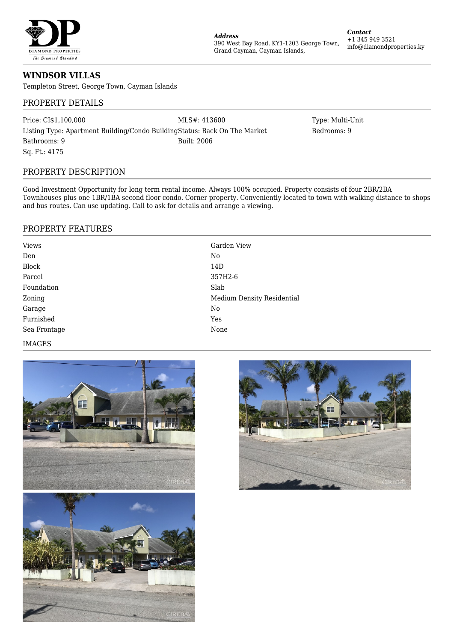

**WINDSOR VILLAS**

Templeton Street, George Town, Cayman Islands

## PROPERTY DETAILS

Price: CI\$1,100,000 MLS#: 413600 MLS#: 413600 Type: Multi-Unit Listing Type: Apartment Building/Condo BuildingStatus: Back On The Market Bedrooms: 9 Bathrooms: 9 Built: 2006 Sq. Ft.: 4175

# PROPERTY DESCRIPTION

Good Investment Opportunity for long term rental income. Always 100% occupied. Property consists of four 2BR/2BA Townhouses plus one 1BR/1BA second floor condo. Corner property. Conveniently located to town with walking distance to shops and bus routes. Can use updating. Call to ask for details and arrange a viewing.

*Address*

390 West Bay Road, KY1-1203 George Town,

Grand Cayman, Cayman Islands,

### PROPERTY FEATURES

| <b>Views</b> | Garden View                       |
|--------------|-----------------------------------|
| Den          | No                                |
| <b>Block</b> | 14D                               |
| Parcel       | 357H2-6                           |
| Foundation   | Slab                              |
| Zoning       | <b>Medium Density Residential</b> |
| Garage       | No                                |
| Furnished    | Yes                               |
| Sea Frontage | None                              |

#### IMAGES